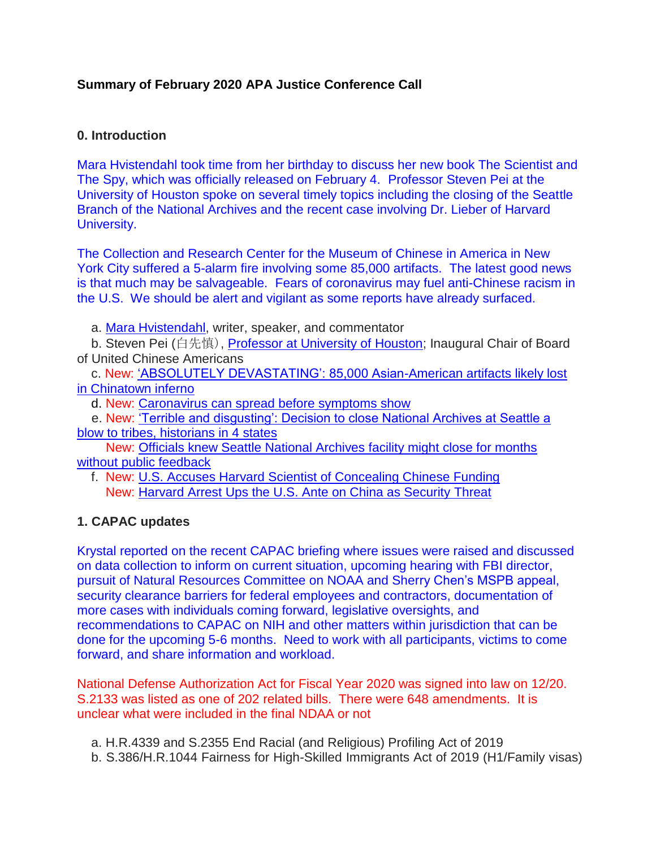# **Summary of February 2020 APA Justice Conference Call**

### **0. Introduction**

Mara Hvistendahl took time from her birthday to discuss her new book The Scientist and The Spy, which was officially released on February 4. Professor Steven Pei at the University of Houston spoke on several timely topics including the closing of the Seattle Branch of the National Archives and the recent case involving Dr. Lieber of Harvard University.

The Collection and Research Center for the Museum of Chinese in America in New York City suffered a 5-alarm fire involving some 85,000 artifacts. The latest good news is that much may be salvageable. Fears of coronavirus may fuel anti-Chinese racism in the U.S. We should be alert and vigilant as some reports have already surfaced.

a. [Mara Hvistendahl,](http://bit.ly/2uoXzQr) writer, speaker, and commentator

b. Steven Pei (白先慎), [Professor at University of Houston;](http://bit.ly/38w8xm0) Inaugural Chair of Board of United Chinese Americans

c. New: ['ABSOLUTELY DEVASTATING': 85,000 Asian-American artifacts likely lost](http://bit.ly/2RWxT62)  [in Chinatown inferno](http://bit.ly/2RWxT62)

d. New: [Caronavirus can spread before symptoms show](https://cnn.it/2GmUBP1)

e. New: ['Terrible and disgusting': Decision to close National Archives at Seattle a](http://bit.ly/2vwlDlb)  [blow to tribes, historians in 4 states](http://bit.ly/2vwlDlb)

New: [Officials knew Seattle National Archives facility might close for months](http://bit.ly/2U3BUIc)  [without public feedback](http://bit.ly/2U3BUIc)

f. New: [U.S. Accuses Harvard Scientist of Concealing Chinese Funding](https://nyti.ms/2uLqEFK) New: [Harvard Arrest Ups the U.S. Ante on China as Security](https://bloom.bg/38MAwxL) Threat

# **1. CAPAC updates**

Krystal reported on the recent CAPAC briefing where issues were raised and discussed on data collection to inform on current situation, upcoming hearing with FBI director, pursuit of Natural Resources Committee on NOAA and Sherry Chen's MSPB appeal, security clearance barriers for federal employees and contractors, documentation of more cases with individuals coming forward, legislative oversights, and recommendations to CAPAC on NIH and other matters within jurisdiction that can be done for the upcoming 5-6 months. Need to work with all participants, victims to come forward, and share information and workload.

National Defense Authorization Act for Fiscal Year 2020 was signed into law on 12/20. S.2133 was listed as one of 202 related bills. There were 648 amendments. It is unclear what were included in the final NDAA or not

- a. H.R.4339 and S.2355 End Racial (and Religious) Profiling Act of 2019
- b. S.386/H.R.1044 Fairness for High-Skilled Immigrants Act of 2019 (H1/Family visas)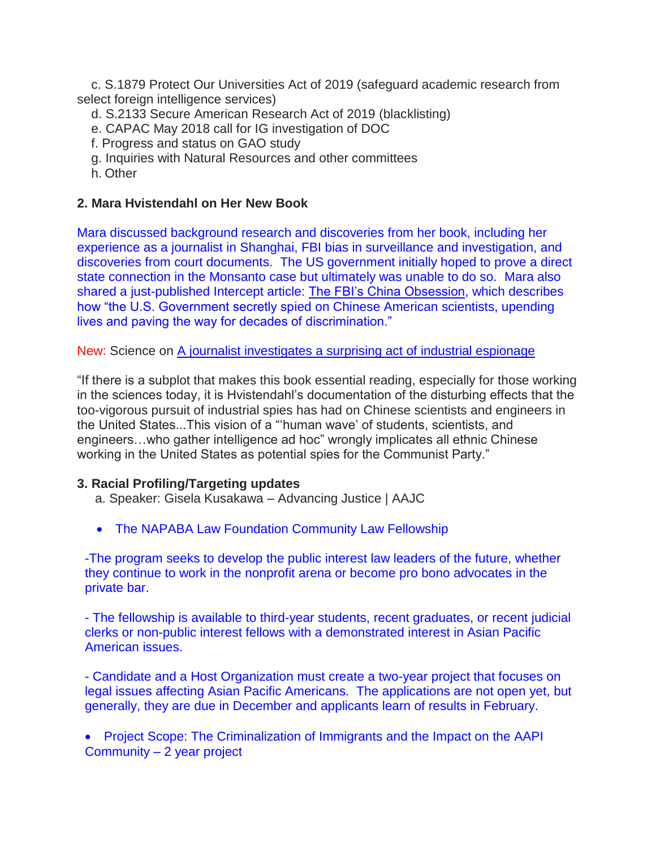c. S.1879 Protect Our Universities Act of 2019 (safeguard academic research from select foreign intelligence services)

- d. S.2133 Secure American Research Act of 2019 (blacklisting)
- e. CAPAC May 2018 call for IG investigation of DOC
- f. Progress and status on GAO study
- g. Inquiries with Natural Resources and other committees
- h. Other

### **2. Mara Hvistendahl on Her New Book**

Mara discussed background research and discoveries from her book, including her experience as a journalist in Shanghai, FBI bias in surveillance and investigation, and discoveries from court documents. The US government initially hoped to prove a direct state connection in the Monsanto case but ultimately was unable to do so. Mara also shared a just-published Intercept article: [The FBI's China Obsession,](http://bit.ly/2S39ZqA) which describes how "the U.S. Government secretly spied on Chinese American scientists, upending lives and paving the way for decades of discrimination."

New: Science on [A journalist investigates a surprising act of industrial espionage](http://bit.ly/37KjAbp)

"If there is a subplot that makes this book essential reading, especially for those working in the sciences today, it is Hvistendahl's documentation of the disturbing effects that the too-vigorous pursuit of industrial spies has had on Chinese scientists and engineers in the United States...This vision of a "'human wave' of students, scientists, and engineers…who gather intelligence ad hoc" wrongly implicates all ethnic Chinese working in the United States as potential spies for the Communist Party."

### **3. Racial Profiling/Targeting updates**

- a. Speaker: Gisela Kusakawa Advancing Justice | AAJC
- The NAPABA Law Foundation Community Law Fellowship

-The program seeks to develop the public interest law leaders of the future, whether they continue to work in the nonprofit arena or become pro bono advocates in the private bar.

- The fellowship is available to third-year students, recent graduates, or recent judicial clerks or non-public interest fellows with a demonstrated interest in Asian Pacific American issues.

- Candidate and a Host Organization must create a two-year project that focuses on legal issues affecting Asian Pacific Americans. The applications are not open yet, but generally, they are due in December and applicants learn of results in February.

 Project Scope: The Criminalization of Immigrants and the Impact on the AAPI Community – 2 year project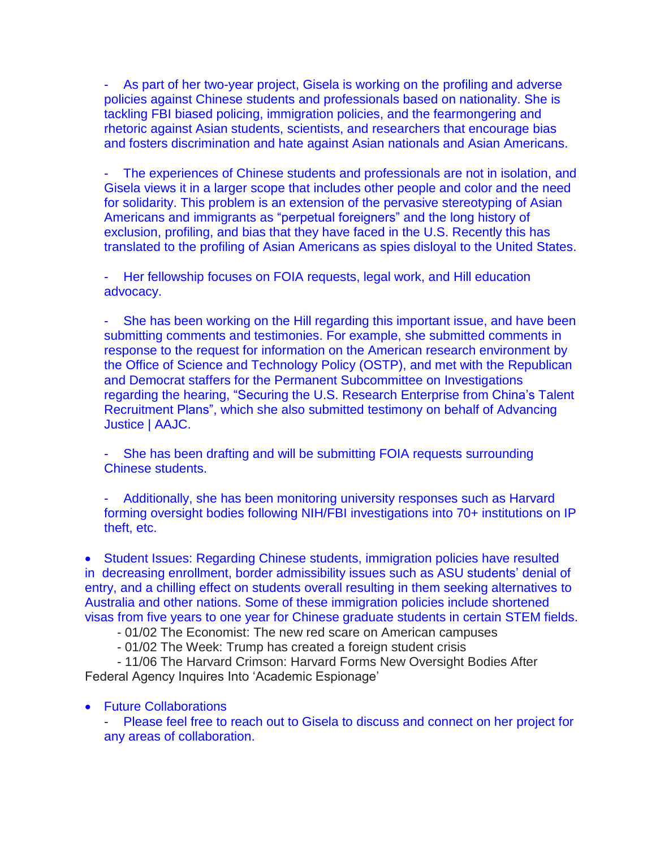As part of her two-year project, Gisela is working on the profiling and adverse policies against Chinese students and professionals based on nationality. She is tackling FBI biased policing, immigration policies, and the fearmongering and rhetoric against Asian students, scientists, and researchers that encourage bias and fosters discrimination and hate against Asian nationals and Asian Americans.

The experiences of Chinese students and professionals are not in isolation, and Gisela views it in a larger scope that includes other people and color and the need for solidarity. This problem is an extension of the pervasive stereotyping of Asian Americans and immigrants as "perpetual foreigners" and the long history of exclusion, profiling, and bias that they have faced in the U.S. Recently this has translated to the profiling of Asian Americans as spies disloyal to the United States.

Her fellowship focuses on FOIA requests, legal work, and Hill education advocacy.

She has been working on the Hill regarding this important issue, and have been submitting comments and testimonies. For example, she submitted comments in response to the request for information on the American research environment by the Office of Science and Technology Policy (OSTP), and met with the Republican and Democrat staffers for the Permanent Subcommittee on Investigations regarding the hearing, "Securing the U.S. Research Enterprise from China's Talent Recruitment Plans", which she also submitted testimony on behalf of Advancing Justice | AAJC.

- She has been drafting and will be submitting FOIA requests surrounding Chinese students.

- Additionally, she has been monitoring university responses such as Harvard forming oversight bodies following NIH/FBI investigations into 70+ institutions on IP theft, etc.

 Student Issues: Regarding Chinese students, immigration policies have resulted in decreasing enrollment, border admissibility issues such as ASU students' denial of entry, and a chilling effect on students overall resulting in them seeking alternatives to Australia and other nations. Some of these immigration policies include shortened visas from five years to one year for Chinese graduate students in certain STEM fields.

- 01/02 The Economist: The new red scare on American campuses

- 01/02 The Week: Trump has created a foreign student crisis

- 11/06 The Harvard Crimson: Harvard Forms New Oversight Bodies After Federal Agency Inquires Into 'Academic Espionage'

#### Future Collaborations

Please feel free to reach out to Gisela to discuss and connect on her project for any areas of collaboration.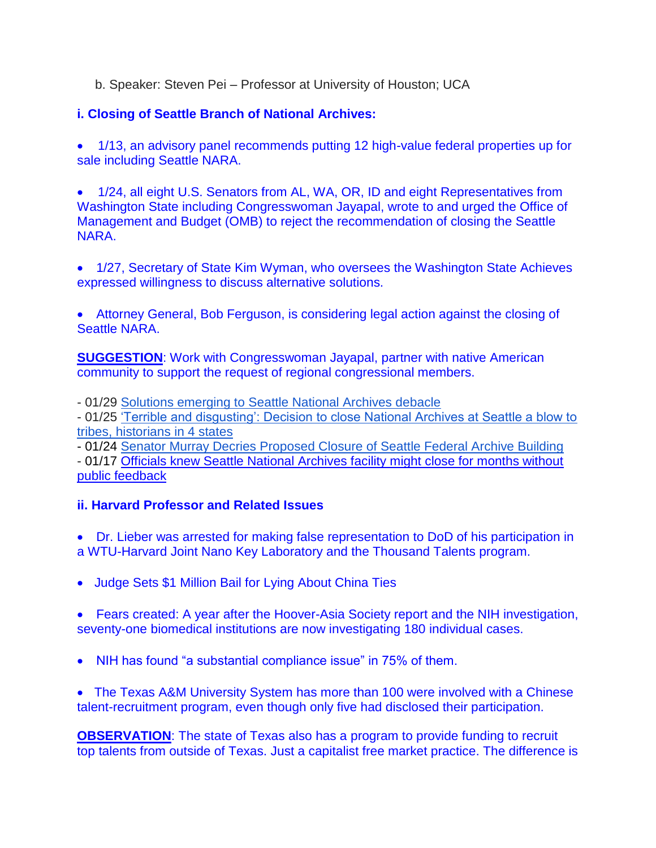- b. Speaker: Steven Pei Professor at University of Houston; UCA
- **i. Closing of Seattle Branch of National Archives:**

 1/13, an advisory panel recommends putting 12 high-value federal properties up for sale including Seattle NARA.

• 1/24, all eight U.S. Senators from AL, WA, OR, ID and eight Representatives from Washington State including Congresswoman Jayapal, wrote to and urged the Office of Management and Budget (OMB) to reject the recommendation of closing the Seattle NARA.

 1/27, Secretary of State Kim Wyman, who oversees the Washington State Achieves expressed willingness to discuss alternative solutions.

 Attorney General, Bob Ferguson, is considering legal action against the closing of Seattle NARA.

**SUGGESTION:** Work with Congresswoman Jayapal, partner with native American community to support the request of regional congressional members.

- 01/29 [Solutions emerging to Seattle National Archives debacle](https://mynorthwest.com/1691475/solutions-emerging-seattle-national-archives-debacle/)

- 01/25 ['Terrible and disgusting': Decision to close National Archives at Seattle a blow to](http://bit.ly/2vwlDlb)  [tribes, historians in 4 states](http://bit.ly/2vwlDlb)

- 01/24 [Senator Murray Decries Proposed Closure of Seattle Federal Archive Building](https://www.murray.senate.gov/public/index.cfm/mobile/newsreleases?ContentRecord_id=F646EF35-B14B-4D49-8CDA-4BF240FB712A) - 01/17 [Officials knew Seattle National Archives facility might close for months without](http://bit.ly/2U3BUIc)  [public feedback](http://bit.ly/2U3BUIc)

# **ii. Harvard Professor and Related Issues**

 Dr. Lieber was arrested for making false representation to DoD of his participation in a WTU-Harvard Joint Nano Key Laboratory and the Thousand Talents program.

• Judge Sets \$1 Million Bail for Lying About China Ties

 Fears created: A year after the Hoover-Asia Society report and the NIH investigation, seventy-one biomedical institutions are now investigating 180 individual cases.

NIH has found "a substantial compliance issue" in 75% of them.

 The Texas A&M University System has more than 100 were involved with a Chinese talent-recruitment program, even though only five had disclosed their participation.

**OBSERVATION**: The state of Texas also has a program to provide funding to recruit top talents from outside of Texas. Just a capitalist free market practice. The difference is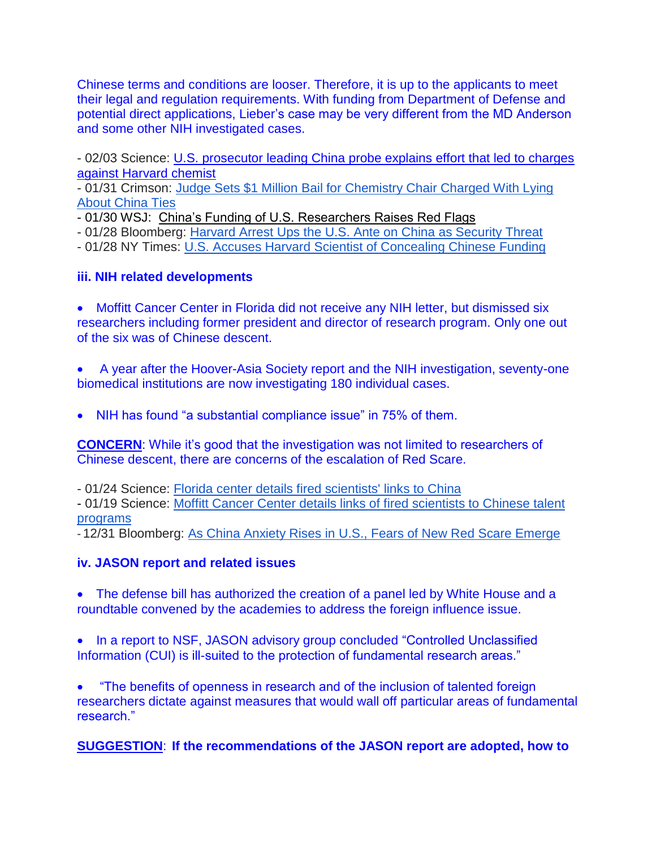Chinese terms and conditions are looser. Therefore, it is up to the applicants to meet their legal and regulation requirements. With funding from Department of Defense and potential direct applications, Lieber's case may be very different from the MD Anderson and some other NIH investigated cases.

- 02/03 Science: [U.S. prosecutor leading China probe explains effort that led to charges](http://bit.ly/2Uv8TFy)  [against Harvard chemist](http://bit.ly/2Uv8TFy)

- 01/31 Crimson: [Judge Sets \\$1 Million Bail for Chemistry Chair Charged With Lying](https://www.thecrimson.com/article/2020/1/31/lieber-million-bail/)  [About China Ties](https://www.thecrimson.com/article/2020/1/31/lieber-million-bail/)

- 01/30 WSJ: [China's Funding of U.S. Researchers Raises Red Flags](https://www.wsj.com/articles/chinas-funding-of-u-s-researchers-raises-red-flags-11580428915)
- 01/28 Bloomberg: [Harvard Arrest Ups the U.S. Ante on China as Security Threat](https://www.bloomberg.com/news/articles/2020-01-28/harvard-university-professor-accused-of-lying-about-china-ties)
- 01/28 NY Times: [U.S. Accuses Harvard Scientist of Concealing Chinese Funding](https://www.nytimes.com/2020/01/28/us/charles-lieber-harvard.html)

# **iii. NIH related developments**

 Moffitt Cancer Center in Florida did not receive any NIH letter, but dismissed six researchers including former president and director of research program. Only one out of the six was of Chinese descent.

 A year after the Hoover-Asia Society report and the NIH investigation, seventy-one biomedical institutions are now investigating 180 individual cases.

• NIH has found "a substantial compliance issue" in 75% of them.

**CONCERN**: While it's good that the investigation was not limited to researchers of Chinese descent, there are concerns of the escalation of Red Scare.

- 01/24 Science: [Florida center details fired scientists' links to China](http://bit.ly/2GlCAAU)

- 01/19 Science: [Moffitt Cancer Center details links of fired scientists to Chinese talent](http://bit.ly/2GjQL9C)  [programs](http://bit.ly/2GjQL9C)

- 12/31 Bloomberg: [As China Anxiety Rises in U.S., Fears of New Red Scare Emerge](https://bloom.bg/2ZKLLUh)

# **iv. JASON report and related issues**

 The defense bill has authorized the creation of a panel led by White House and a roundtable convened by the academies to address the foreign influence issue.

• In a report to NSF, JASON advisory group concluded "Controlled Unclassified Information (CUI) is ill-suited to the protection of fundamental research areas."

 "The benefits of openness in research and of the inclusion of talented foreign researchers dictate against measures that would wall off particular areas of fundamental research."

**SUGGESTION**: **If the recommendations of the JASON report are adopted, how to**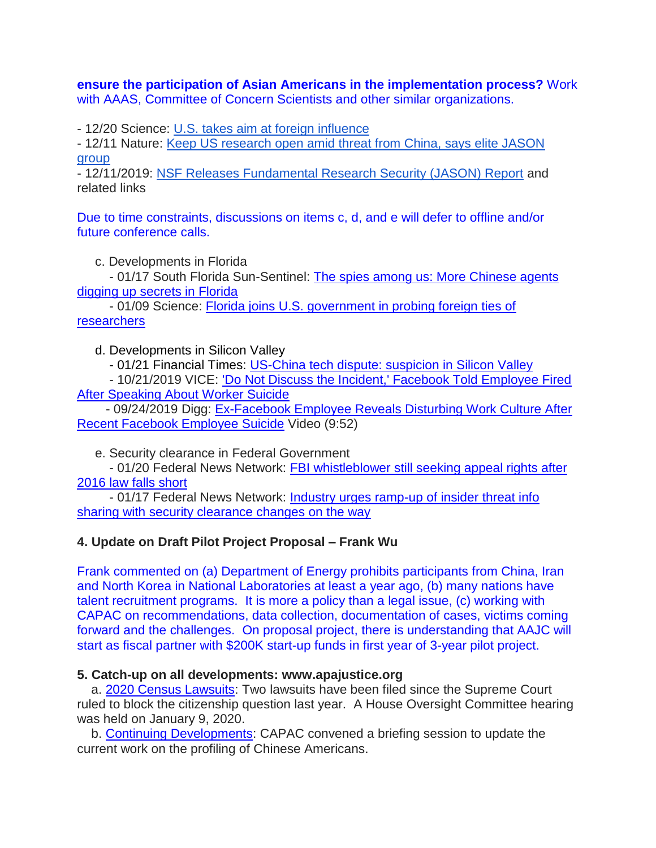**ensure the participation of Asian Americans in the implementation process?** Work with AAAS, Committee of Concern Scientists and other similar organizations.

- 12/20 Science: [U.S. takes aim at foreign influence](http://bit.ly/34Cku7r)

- 12/11 Nature: [Keep US research open amid threat from China, says elite JASON](https://go.nature.com/2ROpHGw)  [group](https://go.nature.com/2ROpHGw)

- 12/11/2019: [NSF Releases Fundamental Research Security \(JASON\) Report](https://www.apajustice.org/current-state.html) and related links

Due to time constraints, discussions on items c, d, and e will defer to offline and/or future conference calls.

c. Developments in Florida

- 01/17 South Florida Sun-Sentinel: [The spies among us: More Chinese agents](http://bit.ly/2v6BvdP)  [digging up secrets in Florida](http://bit.ly/2v6BvdP)

- 01/09 Science: [Florida joins U.S. government in probing foreign ties of](http://bit.ly/2GewYs7)  [researchers](http://bit.ly/2GewYs7)

d. Developments in Silicon Valley

- 01/21 Financial Times: [US-China tech dispute: suspicion in Silicon Valley](https://on.ft.com/3aECLoQ)

- 10/21/2019 VICE: ['Do Not Discuss the Incident,' Facebook Told Employee Fired](http://bit.ly/3aMF6hA)  [After Speaking About Worker Suicide](http://bit.ly/3aMF6hA)

- 09/24/2019 Digg: [Ex-Facebook Employee Reveals Disturbing Work Culture After](http://bit.ly/2TRGWYw)  [Recent Facebook Employee Suicide](http://bit.ly/2TRGWYw) Video (9:52)

e. Security clearance in Federal Government

- 01/20 Federal News Network: [FBI whistleblower still seeking appeal rights after](http://bit.ly/38AHING)  [2016 law falls short](http://bit.ly/38AHING)

- 01/17 Federal News Network: [Industry urges ramp-up of insider threat info](http://bit.ly/38l9xcG)  [sharing with security clearance changes on the way](http://bit.ly/38l9xcG)

### **4. Update on Draft Pilot Project Proposal – Frank Wu**

Frank commented on (a) Department of Energy prohibits participants from China, Iran and North Korea in National Laboratories at least a year ago, (b) many nations have talent recruitment programs. It is more a policy than a legal issue, (c) working with CAPAC on recommendations, data collection, documentation of cases, victims coming forward and the challenges. On proposal project, there is understanding that AAJC will start as fiscal partner with \$200K start-up funds in first year of 3-year pilot project.

### **5. Catch-up on all developments: www.apajustice.org**

a. [2020 Census Lawsuits:](https://www.apajustice.org/lawsuits.html) Two lawsuits have been filed since the Supreme Court ruled to block the citizenship question last year. A House Oversight Committee hearing was held on January 9, 2020.

b. [Continuing Developments:](https://www.apajustice.org/developments.html) CAPAC convened a briefing session to update the current work on the profiling of Chinese Americans.